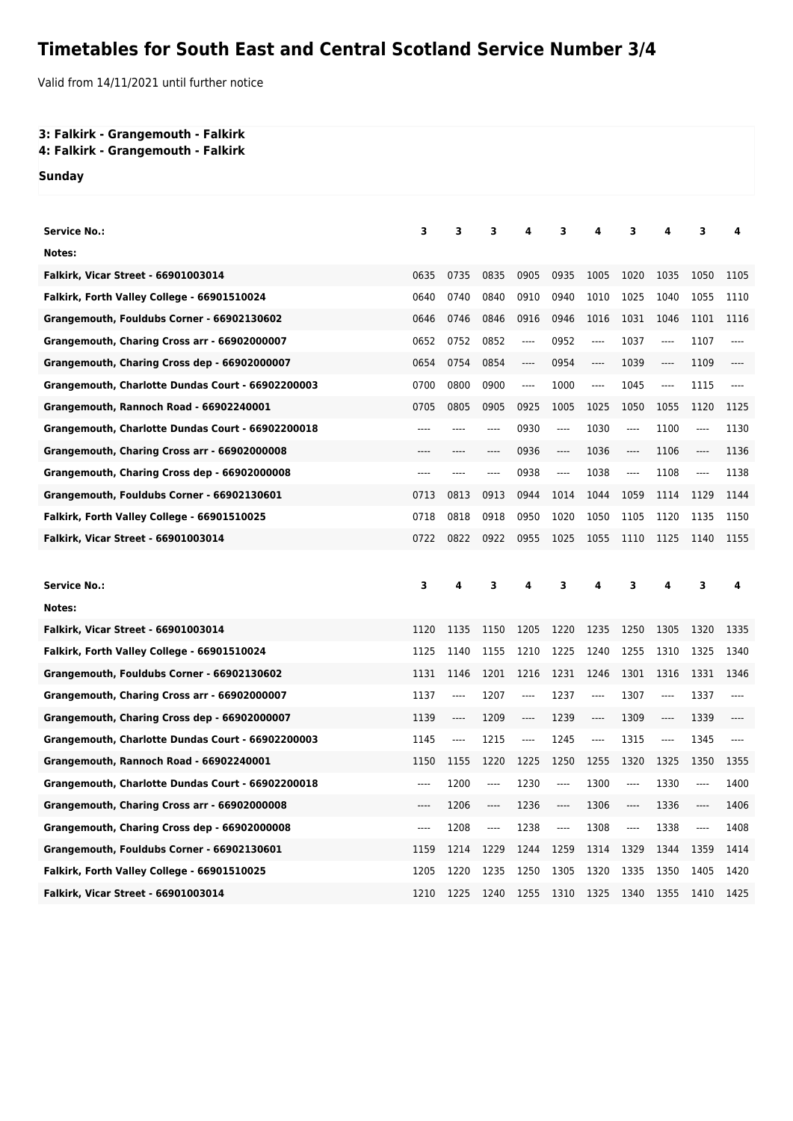## **Timetables for South East and Central Scotland Service Number 3/4**

Valid from 14/11/2021 until further notice

## **3: Falkirk - Grangemouth - Falkirk**

**4: Falkirk - Grangemouth - Falkirk**

**Sunday**

| <b>Service No.:</b>                               | 3     | 3     | 3                        | 4    | 3     | 4                        | 3              | 4                        | 3              | 4     |
|---------------------------------------------------|-------|-------|--------------------------|------|-------|--------------------------|----------------|--------------------------|----------------|-------|
| Notes:                                            |       |       |                          |      |       |                          |                |                          |                |       |
| <b>Falkirk, Vicar Street - 66901003014</b>        | 0635  | 0735  | 0835                     | 0905 | 0935  | 1005                     | 1020           | 1035                     | 1050           | 1105  |
| Falkirk, Forth Valley College - 66901510024       | 0640  | 0740  | 0840                     | 0910 | 0940  | 1010                     | 1025           | 1040                     | 1055           | 1110  |
| Grangemouth, Fouldubs Corner - 66902130602        | 0646  | 0746  | 0846                     | 0916 | 0946  | 1016                     | 1031           | 1046                     | 1101           | 1116  |
| Grangemouth, Charing Cross arr - 66902000007      | 0652  | 0752  | 0852                     | ---- | 0952  | ----                     | 1037           | ----                     | 1107           | ----  |
| Grangemouth, Charing Cross dep - 66902000007      | 0654  | 0754  | 0854                     | ---- | 0954  | $\cdots$                 | 1039           | $---$                    | 1109           | ----  |
| Grangemouth, Charlotte Dundas Court - 66902200003 | 0700  | 0800  | 0900                     | ---- | 1000  | $---$                    | 1045           | $---$                    | 1115           | ----  |
| Grangemouth, Rannoch Road - 66902240001           | 0705  | 0805  | 0905                     | 0925 | 1005  | 1025                     | 1050           | 1055                     | 1120           | 1125  |
| Grangemouth, Charlotte Dundas Court - 66902200018 | $---$ | ----  | $---$                    | 0930 | ----  | 1030                     | ----           | 1100                     | ----           | 1130  |
| Grangemouth, Charing Cross arr - 66902000008      | ----  |       | ----                     | 0936 | ----  | 1036                     | ----           | 1106                     | ----           | 1136  |
| Grangemouth, Charing Cross dep - 66902000008      | $---$ | ----  | $---$                    | 0938 | $---$ | 1038                     | $---$          | 1108                     | $\overline{a}$ | 1138  |
| Grangemouth, Fouldubs Corner - 66902130601        | 0713  | 0813  | 0913                     | 0944 | 1014  | 1044                     | 1059           | 1114                     | 1129           | 1144  |
| Falkirk, Forth Valley College - 66901510025       | 0718  | 0818  | 0918                     | 0950 | 1020  | 1050                     | 1105           | 1120                     | 1135           | 1150  |
| <b>Falkirk, Vicar Street - 66901003014</b>        | 0722  | 0822  | 0922                     | 0955 | 1025  | 1055                     | 1110           | 1125                     | 1140           | 1155  |
|                                                   |       |       |                          |      |       |                          |                |                          |                |       |
|                                                   |       |       |                          |      |       |                          |                |                          |                |       |
| <b>Service No.:</b>                               | 3     | 4     | 3                        | 4    | 3     | 4                        | 3              | 4                        | 3              | 4     |
| Notes:                                            |       |       |                          |      |       |                          |                |                          |                |       |
| <b>Falkirk, Vicar Street - 66901003014</b>        | 1120  | 1135  | 1150                     | 1205 | 1220  | 1235                     | 1250           | 1305                     | 1320           | 1335  |
| Falkirk, Forth Valley College - 66901510024       | 1125  | 1140  | 1155                     | 1210 | 1225  | 1240                     | 1255           | 1310                     | 1325           | 1340  |
| Grangemouth, Fouldubs Corner - 66902130602        | 1131  | 1146  | 1201                     | 1216 | 1231  | 1246                     | 1301           | 1316                     | 1331           | 1346  |
| Grangemouth, Charing Cross arr - 66902000007      | 1137  | $---$ | 1207                     | ---- | 1237  | $\overline{\phantom{a}}$ | 1307           | $\overline{\phantom{a}}$ | 1337           | $---$ |
| Grangemouth, Charing Cross dep - 66902000007      | 1139  | ----  | 1209                     | ---- | 1239  | ----                     | 1309           | ----                     | 1339           |       |
| Grangemouth, Charlotte Dundas Court - 66902200003 | 1145  | ----  | 1215                     | ---- | 1245  | ----                     | 1315           | ----                     | 1345           |       |
| Grangemouth, Rannoch Road - 66902240001           | 1150  | 1155  | 1220                     | 1225 | 1250  | 1255                     | 1320           | 1325                     | 1350           | 1355  |
| Grangemouth, Charlotte Dundas Court - 66902200018 | ----  | 1200  | ----                     | 1230 | ----  | 1300                     | ----           | 1330                     | ----           | 1400  |
| Grangemouth, Charing Cross arr - 66902000008      |       | 1206  | $---$                    | 1236 | ----  | 1306                     | ----           | 1336                     | ----           | 1406  |
| Grangemouth, Charing Cross dep - 66902000008      | $---$ | 1208  | $\overline{\phantom{a}}$ | 1238 | ----  | 1308                     | $\overline{a}$ | 1338                     | $\overline{a}$ | 1408  |
| Grangemouth, Fouldubs Corner - 66902130601        | 1159  | 1214  | 1229                     | 1244 | 1259  | 1314                     | 1329           | 1344                     | 1359           | 1414  |
| Falkirk, Forth Valley College - 66901510025       | 1205  | 1220  | 1235                     | 1250 | 1305  | 1320                     | 1335           | 1350                     | 1405           | 1420  |